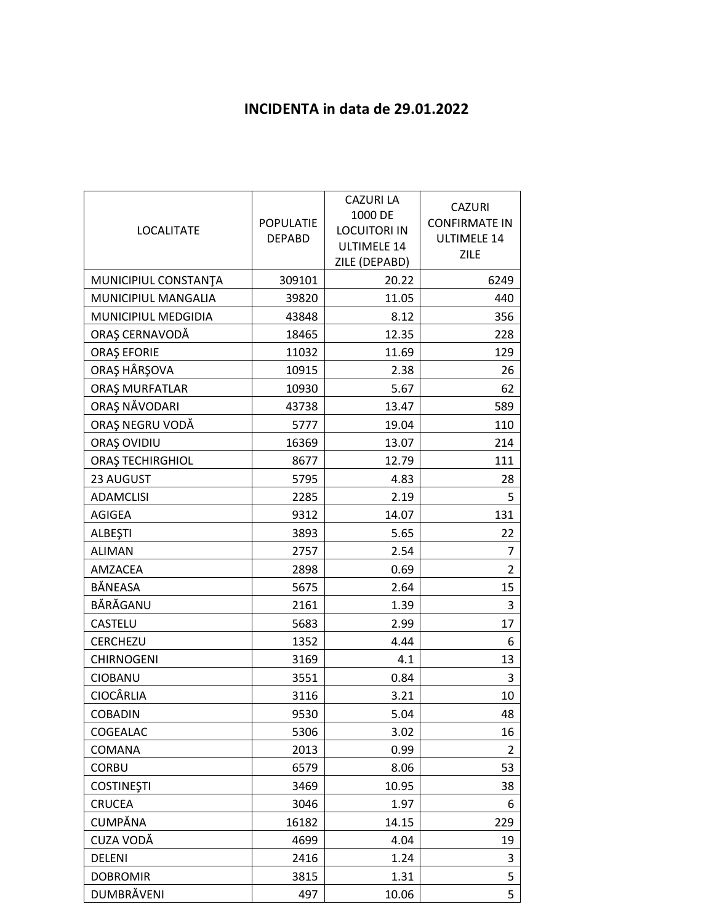## **INCIDENTA in data de 29.01.2022**

| <b>LOCALITATE</b>    | <b>POPULATIE</b><br><b>DEPABD</b> | <b>CAZURI LA</b><br>1000 DE<br><b>LOCUITORI IN</b><br><b>ULTIMELE 14</b><br>ZILE (DEPABD) | <b>CAZURI</b><br><b>CONFIRMATE IN</b><br><b>ULTIMELE 14</b><br>ZILE |
|----------------------|-----------------------------------|-------------------------------------------------------------------------------------------|---------------------------------------------------------------------|
| MUNICIPIUL CONSTANTA | 309101                            | 20.22                                                                                     | 6249                                                                |
| MUNICIPIUL MANGALIA  | 39820                             | 11.05                                                                                     | 440                                                                 |
| MUNICIPIUL MEDGIDIA  | 43848                             | 8.12                                                                                      | 356                                                                 |
| ORAȘ CERNAVODĂ       | 18465                             | 12.35                                                                                     | 228                                                                 |
| <b>ORAȘ EFORIE</b>   | 11032                             | 11.69                                                                                     | 129                                                                 |
| ORAȘ HÂRȘOVA         | 10915                             | 2.38                                                                                      | 26                                                                  |
| ORAȘ MURFATLAR       | 10930                             | 5.67                                                                                      | 62                                                                  |
| ORAȘ NĂVODARI        | 43738                             | 13.47                                                                                     | 589                                                                 |
| ORAȘ NEGRU VODĂ      | 5777                              | 19.04                                                                                     | 110                                                                 |
| ORAȘ OVIDIU          | 16369                             | 13.07                                                                                     | 214                                                                 |
| ORAȘ TECHIRGHIOL     | 8677                              | 12.79                                                                                     | 111                                                                 |
| 23 AUGUST            | 5795                              | 4.83                                                                                      | 28                                                                  |
| <b>ADAMCLISI</b>     | 2285                              | 2.19                                                                                      | 5                                                                   |
| <b>AGIGEA</b>        | 9312                              | 14.07                                                                                     | 131                                                                 |
| <b>ALBEȘTI</b>       | 3893                              | 5.65                                                                                      | 22                                                                  |
| <b>ALIMAN</b>        | 2757                              | 2.54                                                                                      | 7                                                                   |
| AMZACEA              | 2898                              | 0.69                                                                                      | $\overline{2}$                                                      |
| BÅNEASA              | 5675                              | 2.64                                                                                      | 15                                                                  |
| BĂRĂGANU             | 2161                              | 1.39                                                                                      | 3                                                                   |
| CASTELU              | 5683                              | 2.99                                                                                      | 17                                                                  |
| CERCHEZU             | 1352                              | 4.44                                                                                      | 6                                                                   |
| <b>CHIRNOGENI</b>    | 3169                              | 4.1                                                                                       | 13                                                                  |
| CIOBANU              | 3551                              | 0.84                                                                                      | 3                                                                   |
| <b>CIOCÂRLIA</b>     | 3116                              | 3.21                                                                                      | 10                                                                  |
| <b>COBADIN</b>       | 9530                              | 5.04                                                                                      | 48                                                                  |
| COGEALAC             | 5306                              | 3.02                                                                                      | 16                                                                  |
| COMANA               | 2013                              | 0.99                                                                                      | 2                                                                   |
| <b>CORBU</b>         | 6579                              | 8.06                                                                                      | 53                                                                  |
| <b>COSTINEȘTI</b>    | 3469                              | 10.95                                                                                     | 38                                                                  |
| <b>CRUCEA</b>        | 3046                              | 1.97                                                                                      | 6                                                                   |
| CUMPĂNA              | 16182                             | 14.15                                                                                     | 229                                                                 |
| CUZA VODĂ            | 4699                              | 4.04                                                                                      | 19                                                                  |
| <b>DELENI</b>        | 2416                              | 1.24                                                                                      | 3                                                                   |
| <b>DOBROMIR</b>      | 3815                              | 1.31                                                                                      | 5                                                                   |
| DUMBRĂVENI           | 497                               | 10.06                                                                                     | 5                                                                   |